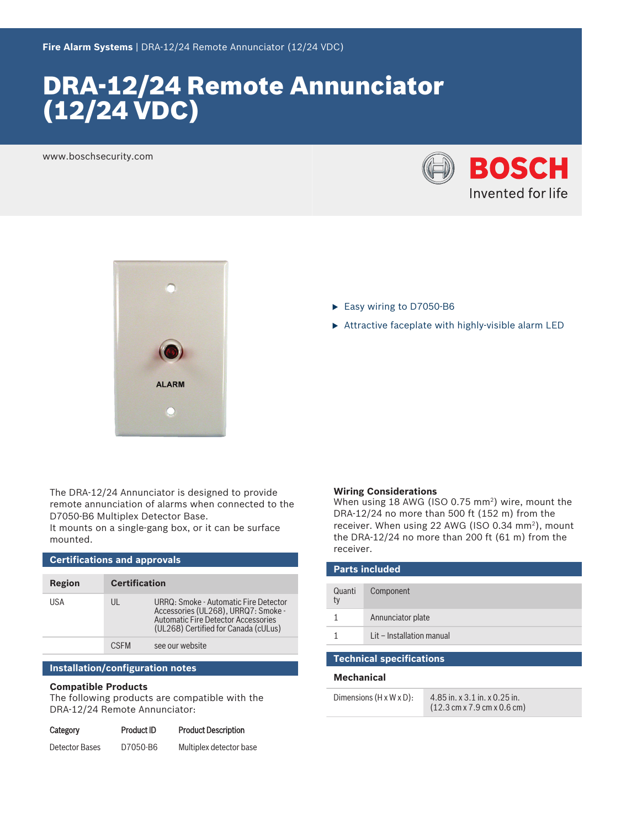# DRA‑12/24 Remote Annunciator (12/24 VDC)

www.boschsecurity.com





The DRA‑12/24 Annunciator is designed to provide remote annunciation of alarms when connected to the D7050‑B6 Multiplex Detector Base.

It mounts on a single‑gang box, or it can be surface mounted.

| <b>Certifications and approvals</b> |                      |                                                                                                                                                                    |  |  |
|-------------------------------------|----------------------|--------------------------------------------------------------------------------------------------------------------------------------------------------------------|--|--|
| Region                              | <b>Certification</b> |                                                                                                                                                                    |  |  |
| USA                                 | UL                   | URRQ: Smoke - Automatic Fire Detector<br>Accessories (UL268), URRQ7: Smoke -<br><b>Automatic Fire Detector Accessories</b><br>(UL268) Certified for Canada (cULus) |  |  |
|                                     | <b>CSEM</b>          | see our website                                                                                                                                                    |  |  |

### **Installation/configuration notes**

### **Compatible Products**

The following products are compatible with the DRA‑12/24 Remote Annunciator:

| Category       | <b>Product ID</b> | <b>Product Description</b> |
|----------------|-------------------|----------------------------|
| Detector Bases | D7050-B6          | Multiplex detector base    |

- ► Easy wiring to D7050-B6
- $\triangleright$  Attractive faceplate with highly-visible alarm LED

#### **Wiring Considerations**

When using 18 AWG (ISO 0.75 mm<sup>2</sup>) wire, mount the DRA‑12/24 no more than 500 ft (152 m) from the receiver. When using 22 AWG (ISO 0.34  $mm<sup>2</sup>$ ), mount the DRA‑12/24 no more than 200 ft (61 m) from the receiver.

| <b>Parts included</b> |                           |  |  |
|-----------------------|---------------------------|--|--|
| Quanti<br>ty          | Component                 |  |  |
|                       | Annunciator plate         |  |  |
|                       | Lit - Installation manual |  |  |

#### **Technical specifications**

### **Mechanical**

| Dimensions $(H \times W \times D)$ : | 4.85 in. x 3.1 in. x 0.25 in.                                   |
|--------------------------------------|-----------------------------------------------------------------|
|                                      | $(12.3 \text{ cm} \times 7.9 \text{ cm} \times 0.6 \text{ cm})$ |